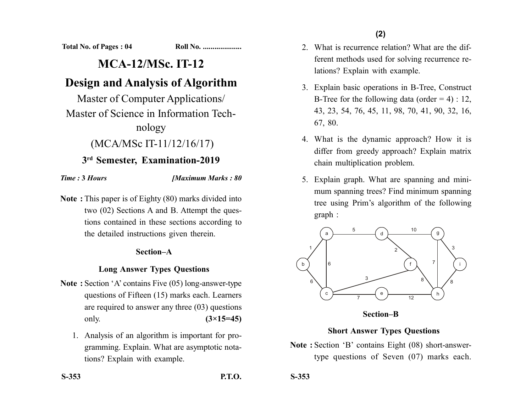**Total No. of Pages : 04 Roll No. ...................** 

# **MCA-12/MSc. IT-12**

# **Design and Analysis of Algorithm**

Master of Computer Applications/ Master of Science in Information Technology

## (MCA/MSc IT-11/12/16/17)

## **3rd Semester, Examination-2019**

#### *Time :* **3** *Hours [Maximum Marks : 80*

**Note :** This paper is of Eighty (80) marks divided into two (02) Sections A and B. Attempt the questions contained in these sections according to the detailed instructions given therein.

### **Section–A**

## **Long Answer Types Questions**

- **Note :** Section 'A' contains Five (05) long-answer-type questions of Fifteen (15) marks each. Learners are required to answer any three (03) questions only. **(3×15=45)**
	- 1. Analysis of an algorithm is important for programming. Explain. What are asymptotic notations? Explain with example.

2. What is recurrence relation? What are the different methods used for solving recurrence relations? Explain with example.

- 3. Explain basic operations in B-Tree, Construct B-Tree for the following data (order  $= 4$ ) : 12, 43, 23, 54, 76, 45, 11, 98, 70, 41, 90, 32, 16, 67, 80.
- 4. What is the dynamic approach? How it is differ from greedy approach? Explain matrix chain multiplication problem.
- 5. Explain graph. What are spanning and minimum spanning trees? Find minimum spanning tree using Prim's algorithm of the following graph :



**Section–B**

## **Short Answer Types Questions**

**Note :** Section 'B' contains Eight (08) short-answertype questions of Seven (07) marks each.

**S-353 P.T.O.**